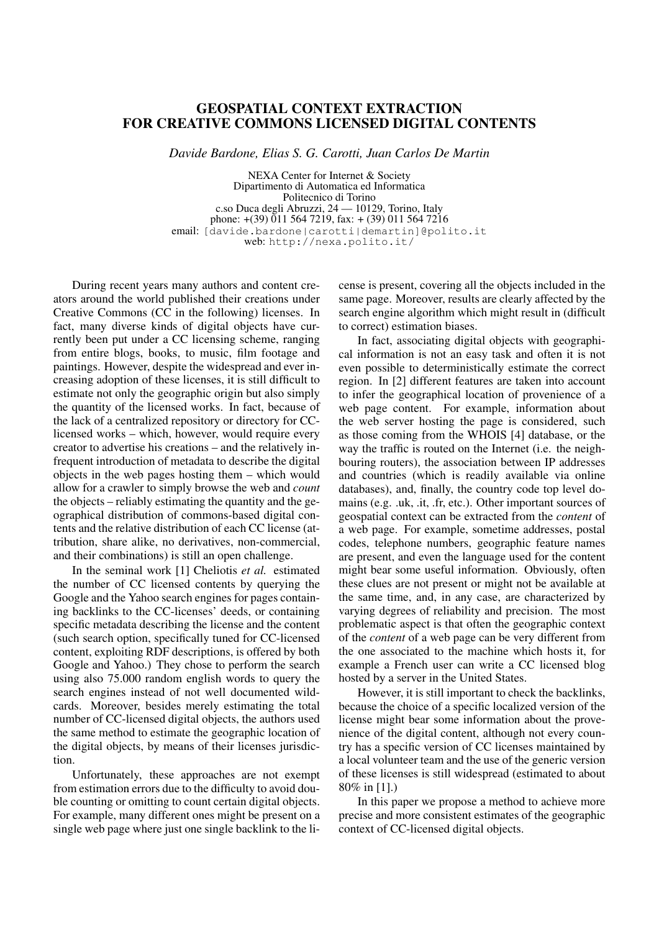## GEOSPATIAL CONTEXT EXTRACTION FOR CREATIVE COMMONS LICENSED DIGITAL CONTENTS

*Davide Bardone, Elias S. G. Carotti, Juan Carlos De Martin*

NEXA Center for Internet & Society Dipartimento di Automatica ed Informatica Politecnico di Torino c.so Duca degli Abruzzi, 24 — 10129, Torino, Italy phone:  $+(39)$  011 564 7219, fax:  $+(39)$  011 564 7216 email: [davide.bardone|carotti|demartin]@polito.it web: http://nexa.polito.it/

During recent years many authors and content creators around the world published their creations under Creative Commons (CC in the following) licenses. In fact, many diverse kinds of digital objects have currently been put under a CC licensing scheme, ranging from entire blogs, books, to music, film footage and paintings. However, despite the widespread and ever increasing adoption of these licenses, it is still difficult to estimate not only the geographic origin but also simply the quantity of the licensed works. In fact, because of the lack of a centralized repository or directory for CClicensed works – which, however, would require every creator to advertise his creations – and the relatively infrequent introduction of metadata to describe the digital objects in the web pages hosting them – which would allow for a crawler to simply browse the web and *count* the objects – reliably estimating the quantity and the geographical distribution of commons-based digital contents and the relative distribution of each CC license (attribution, share alike, no derivatives, non-commercial, and their combinations) is still an open challenge.

In the seminal work [1] Cheliotis *et al.* estimated the number of CC licensed contents by querying the Google and the Yahoo search engines for pages containing backlinks to the CC-licenses' deeds, or containing specific metadata describing the license and the content (such search option, specifically tuned for CC-licensed content, exploiting RDF descriptions, is offered by both Google and Yahoo.) They chose to perform the search using also 75.000 random english words to query the search engines instead of not well documented wildcards. Moreover, besides merely estimating the total number of CC-licensed digital objects, the authors used the same method to estimate the geographic location of the digital objects, by means of their licenses jurisdiction.

Unfortunately, these approaches are not exempt from estimation errors due to the difficulty to avoid double counting or omitting to count certain digital objects. For example, many different ones might be present on a single web page where just one single backlink to the license is present, covering all the objects included in the same page. Moreover, results are clearly affected by the search engine algorithm which might result in (difficult to correct) estimation biases.

In fact, associating digital objects with geographical information is not an easy task and often it is not even possible to deterministically estimate the correct region. In [2] different features are taken into account to infer the geographical location of provenience of a web page content. For example, information about the web server hosting the page is considered, such as those coming from the WHOIS [4] database, or the way the traffic is routed on the Internet (i.e. the neighbouring routers), the association between IP addresses and countries (which is readily available via online databases), and, finally, the country code top level domains (e.g. .uk, .it, .fr, etc.). Other important sources of geospatial context can be extracted from the *content* of a web page. For example, sometime addresses, postal codes, telephone numbers, geographic feature names are present, and even the language used for the content might bear some useful information. Obviously, often these clues are not present or might not be available at the same time, and, in any case, are characterized by varying degrees of reliability and precision. The most problematic aspect is that often the geographic context of the *content* of a web page can be very different from the one associated to the machine which hosts it, for example a French user can write a CC licensed blog hosted by a server in the United States.

However, it is still important to check the backlinks, because the choice of a specific localized version of the license might bear some information about the provenience of the digital content, although not every country has a specific version of CC licenses maintained by a local volunteer team and the use of the generic version of these licenses is still widespread (estimated to about 80% in [1].)

In this paper we propose a method to achieve more precise and more consistent estimates of the geographic context of CC-licensed digital objects.